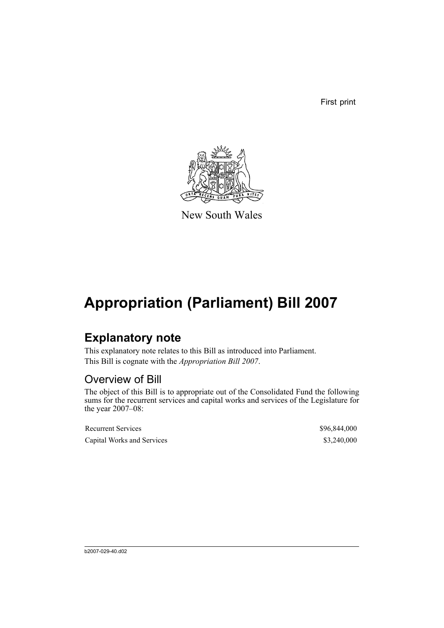First print



New South Wales

# **Appropriation (Parliament) Bill 2007**

### **Explanatory note**

This explanatory note relates to this Bill as introduced into Parliament. This Bill is cognate with the *Appropriation Bill 2007*.

### Overview of Bill

The object of this Bill is to appropriate out of the Consolidated Fund the following sums for the recurrent services and capital works and services of the Legislature for the year 2007–08:

| <b>Recurrent Services</b>  | \$96,844,000 |
|----------------------------|--------------|
| Capital Works and Services | \$3,240,000  |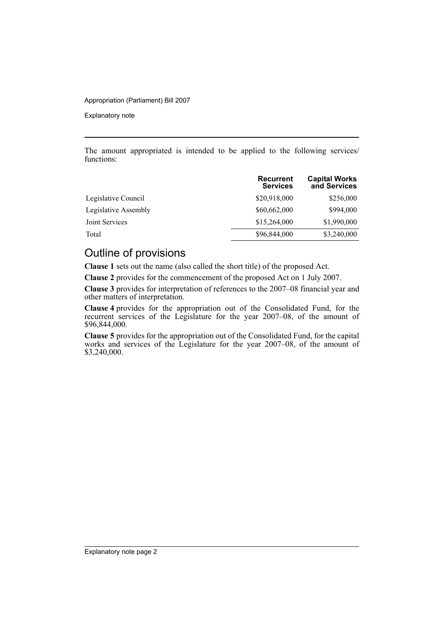#### Appropriation (Parliament) Bill 2007

Explanatory note

The amount appropriated is intended to be applied to the following services/ functions:

|                      | <b>Recurrent</b><br><b>Services</b> | <b>Capital Works</b><br>and Services |
|----------------------|-------------------------------------|--------------------------------------|
| Legislative Council  | \$20,918,000                        | \$256,000                            |
| Legislative Assembly | \$60,662,000                        | \$994,000                            |
| Joint Services       | \$15,264,000                        | \$1,990,000                          |
| Total                | \$96,844,000                        | \$3,240,000                          |

### Outline of provisions

**Clause 1** sets out the name (also called the short title) of the proposed Act.

**Clause 2** provides for the commencement of the proposed Act on 1 July 2007.

**Clause 3** provides for interpretation of references to the 2007–08 financial year and other matters of interpretation.

**Clause 4** provides for the appropriation out of the Consolidated Fund, for the recurrent services of the Legislature for the year 2007–08, of the amount of \$96,844,000.

**Clause 5** provides for the appropriation out of the Consolidated Fund, for the capital works and services of the Legislature for the year 2007–08, of the amount of \$3,240,000.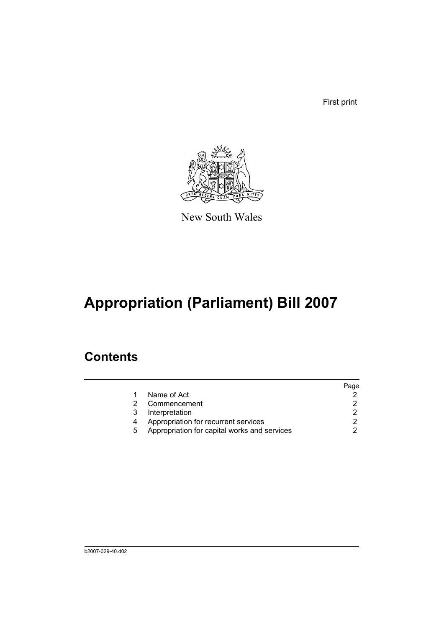First print



New South Wales

# **Appropriation (Parliament) Bill 2007**

## **Contents**

|   |                                              | Page |
|---|----------------------------------------------|------|
|   | Name of Act                                  |      |
|   | Commencement                                 |      |
| 3 | Interpretation                               |      |
|   | Appropriation for recurrent services         |      |
| 5 | Appropriation for capital works and services |      |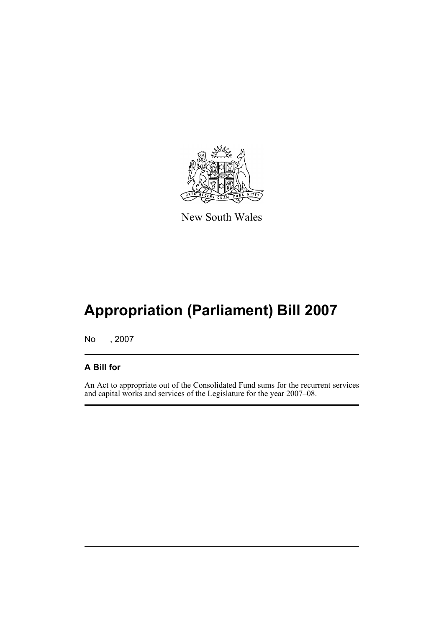

New South Wales

# **Appropriation (Parliament) Bill 2007**

No , 2007

#### **A Bill for**

An Act to appropriate out of the Consolidated Fund sums for the recurrent services and capital works and services of the Legislature for the year 2007–08.